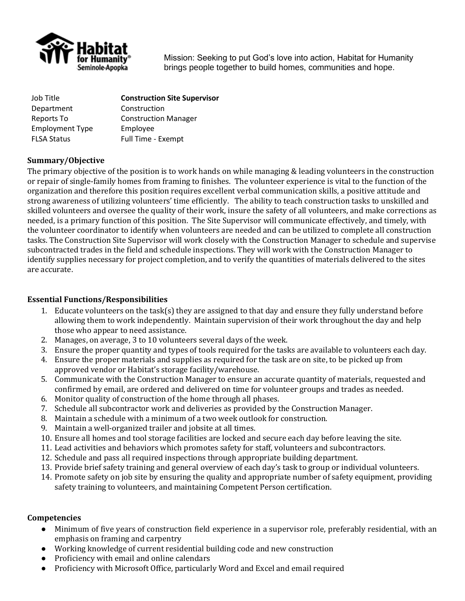

Mission: Seeking to put God's love into action, Habitat for Humanity brings people together to build homes, communities and hope.

| <b>Construction Site Supervisor</b> |
|-------------------------------------|
| Construction                        |
| <b>Construction Manager</b>         |
| Employee                            |
| Full Time - Exempt                  |
|                                     |

# **Summary/Objective**

The primary objective of the position is to work hands on while managing & leading volunteers in the construction or repair of single-family homes from framing to finishes. The volunteer experience is vital to the function of the organization and therefore this position requires excellent verbal communication skills, a positive attitude and strong awareness of utilizing volunteers' time efficiently. The ability to teach construction tasks to unskilled and skilled volunteers and oversee the quality of their work, insure the safety of all volunteers, and make corrections as needed, is a primary function of this position. The Site Supervisor will communicate effectively, and timely, with the volunteer coordinator to identify when volunteers are needed and can be utilized to complete all construction tasks. The Construction Site Supervisor will work closely with the Construction Manager to schedule and supervise subcontracted trades in the field and schedule inspections. They will work with the Construction Manager to identify supplies necessary for project completion, and to verify the quantities of materials delivered to the sites are accurate.

## **Essential Functions/Responsibilities**

- 1. Educate volunteers on the task(s) they are assigned to that day and ensure they fully understand before allowing them to work independently. Maintain supervision of their work throughout the day and help those who appear to need assistance.
- 2. Manages, on average, 3 to 10 volunteers several days of the week.
- 3. Ensure the proper quantity and types of tools required for the tasks are available to volunteers each day.
- 4. Ensure the proper materials and supplies as required for the task are on site, to be picked up from approved vendor or Habitat's storage facility/warehouse.
- 5. Communicate with the Construction Manager to ensure an accurate quantity of materials, requested and confirmed by email, are ordered and delivered on time for volunteer groups and trades as needed.
- 6. Monitor quality of construction of the home through all phases.
- 7. Schedule all subcontractor work and deliveries as provided by the Construction Manager.
- 8. Maintain a schedule with a minimum of a two week outlook for construction.
- 9. Maintain a well-organized trailer and jobsite at all times.
- 10. Ensure all homes and tool storage facilities are locked and secure each day before leaving the site.
- 11. Lead activities and behaviors which promotes safety for staff, volunteers and subcontractors.
- 12. Schedule and pass all required inspections through appropriate building department.
- 13. Provide brief safety training and general overview of each day's task to group or individual volunteers.
- 14. Promote safety on job site by ensuring the quality and appropriate number of safety equipment, providing safety training to volunteers, and maintaining Competent Person certification.

## **Competencies**

- Minimum of five years of construction field experience in a supervisor role, preferably residential, with an emphasis on framing and carpentry
- Working knowledge of current residential building code and new construction
- Proficiency with email and online calendars
- Proficiency with Microsoft Office, particularly Word and Excel and email required